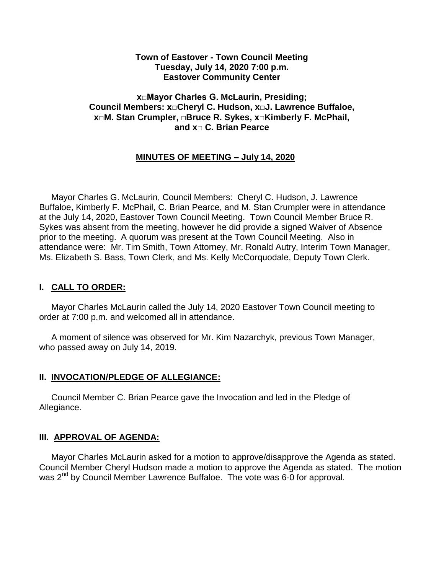#### **Town of Eastover - Town Council Meeting Tuesday, July 14, 2020 7:00 p.m. Eastover Community Center**

#### **x□Mayor Charles G. McLaurin, Presiding; Council Members: x□Cheryl C. Hudson, x□J. Lawrence Buffaloe, x□M. Stan Crumpler, □Bruce R. Sykes, x□Kimberly F. McPhail, and x□ C. Brian Pearce**

## **MINUTES OF MEETING – July 14, 2020**

 Mayor Charles G. McLaurin, Council Members: Cheryl C. Hudson, J. Lawrence Buffaloe, Kimberly F. McPhail, C. Brian Pearce, and M. Stan Crumpler were in attendance at the July 14, 2020, Eastover Town Council Meeting. Town Council Member Bruce R. Sykes was absent from the meeting, however he did provide a signed Waiver of Absence prior to the meeting. A quorum was present at the Town Council Meeting. Also in attendance were: Mr. Tim Smith, Town Attorney, Mr. Ronald Autry, Interim Town Manager, Ms. Elizabeth S. Bass, Town Clerk, and Ms. Kelly McCorquodale, Deputy Town Clerk.

### **I. CALL TO ORDER:**

 Mayor Charles McLaurin called the July 14, 2020 Eastover Town Council meeting to order at 7:00 p.m. and welcomed all in attendance.

 A moment of silence was observed for Mr. Kim Nazarchyk, previous Town Manager, who passed away on July 14, 2019.

#### **II. INVOCATION/PLEDGE OF ALLEGIANCE:**

 Council Member C. Brian Pearce gave the Invocation and led in the Pledge of Allegiance.

### **III. APPROVAL OF AGENDA:**

 Mayor Charles McLaurin asked for a motion to approve/disapprove the Agenda as stated. Council Member Cheryl Hudson made a motion to approve the Agenda as stated. The motion was 2<sup>nd</sup> by Council Member Lawrence Buffaloe. The vote was 6-0 for approval.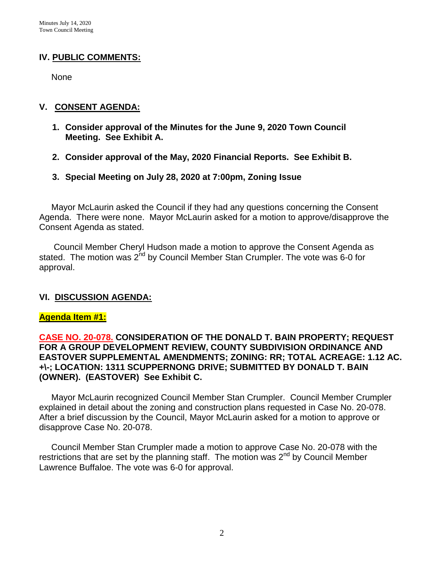## **IV. PUBLIC COMMENTS:**

None

#### **V. CONSENT AGENDA:**

- **1. Consider approval of the Minutes for the June 9, 2020 Town Council Meeting. See Exhibit A.**
- **2. Consider approval of the May, 2020 Financial Reports. See Exhibit B.**
- **3. Special Meeting on July 28, 2020 at 7:00pm, Zoning Issue**

 Mayor McLaurin asked the Council if they had any questions concerning the Consent Agenda. There were none. Mayor McLaurin asked for a motion to approve/disapprove the Consent Agenda as stated.

 Council Member Cheryl Hudson made a motion to approve the Consent Agenda as stated. The motion was  $2^{nd}$  by Council Member Stan Crumpler. The vote was 6-0 for approval.

### **VI. DISCUSSION AGENDA:**

### **Agenda Item #1:**

### **CASE NO. 20-078. CONSIDERATION OF THE DONALD T. BAIN PROPERTY; REQUEST FOR A GROUP DEVELOPMENT REVIEW, COUNTY SUBDIVISION ORDINANCE AND EASTOVER SUPPLEMENTAL AMENDMENTS; ZONING: RR; TOTAL ACREAGE: 1.12 AC. +\-; LOCATION: 1311 SCUPPERNONG DRIVE; SUBMITTED BY DONALD T. BAIN (OWNER). (EASTOVER) See Exhibit C.**

 Mayor McLaurin recognized Council Member Stan Crumpler. Council Member Crumpler explained in detail about the zoning and construction plans requested in Case No. 20-078. After a brief discussion by the Council, Mayor McLaurin asked for a motion to approve or disapprove Case No. 20-078.

 Council Member Stan Crumpler made a motion to approve Case No. 20-078 with the restrictions that are set by the planning staff. The motion was 2<sup>nd</sup> by Council Member Lawrence Buffaloe. The vote was 6-0 for approval.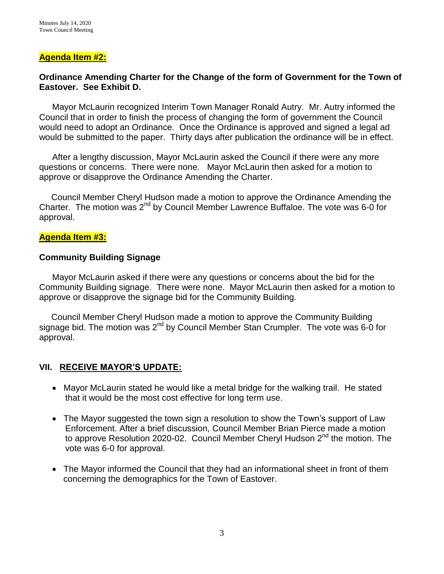#### **Agenda Item #2:**

#### **Ordinance Amending Charter for the Change of the form of Government for the Town of Eastover. See Exhibit D.**

Mayor McLaurin recognized Interim Town Manager Ronald Autry. Mr. Autry informed the Council that in order to finish the process of changing the form of government the Council would need to adopt an Ordinance. Once the Ordinance is approved and signed a legal ad would be submitted to the paper. Thirty days after publication the ordinance will be in effect.

After a lengthy discussion, Mayor McLaurin asked the Council if there were any more questions or concerns. There were none. Mayor McLaurin then asked for a motion to approve or disapprove the Ordinance Amending the Charter.

 Council Member Cheryl Hudson made a motion to approve the Ordinance Amending the Charter. The motion was  $2^{nd}$  by Council Member Lawrence Buffaloe. The vote was 6-0 for approval.

#### **Agenda Item #3:**

#### **Community Building Signage**

Mayor McLaurin asked if there were any questions or concerns about the bid for the Community Building signage. There were none. Mayor McLaurin then asked for a motion to approve or disapprove the signage bid for the Community Building.

 Council Member Cheryl Hudson made a motion to approve the Community Building signage bid. The motion was 2<sup>nd</sup> by Council Member Stan Crumpler. The vote was 6-0 for approval.

#### **VII. RECEIVE MAYOR'S UPDATE:**

- Mayor McLaurin stated he would like a metal bridge for the walking trail. He stated that it would be the most cost effective for long term use.
- The Mayor suggested the town sign a resolution to show the Town's support of Law Enforcement. After a brief discussion, Council Member Brian Pierce made a motion to approve Resolution 2020-02. Council Member Cheryl Hudson 2<sup>nd</sup> the motion. The vote was 6-0 for approval.
- The Mayor informed the Council that they had an informational sheet in front of them concerning the demographics for the Town of Eastover.